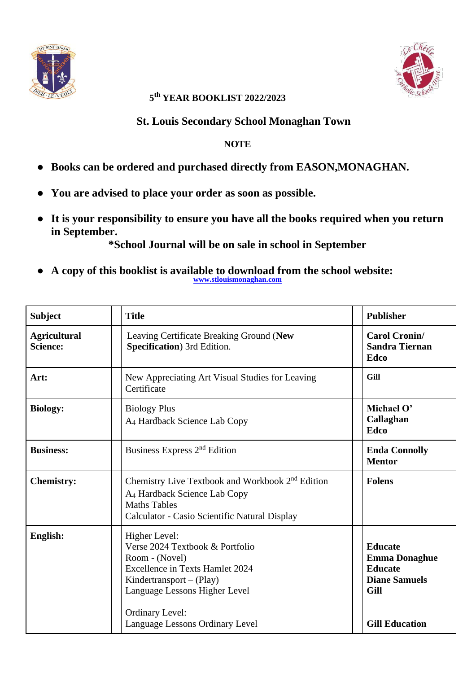



## **5 th YEAR BOOKLIST 2022/2023**

## **St. Louis Secondary School Monaghan Town**

## **NOTE**

- **Books can be ordered and purchased directly from EASON,MONAGHAN.**
- **You are advised to place your order as soon as possible.**
- **It is your responsibility to ensure you have all the books required when you return in September.**

**\*School Journal will be on sale in school in September**

● **A copy of this booklist is available to download from the school website: [www.stlouismonaghan.com](http://www.stlouismonaghan.com/)**

| <b>Subject</b>                         | <b>Title</b>                                                                                                                                                                                                                            | <b>Publisher</b>                                                                                                  |
|----------------------------------------|-----------------------------------------------------------------------------------------------------------------------------------------------------------------------------------------------------------------------------------------|-------------------------------------------------------------------------------------------------------------------|
| <b>Agricultural</b><br><b>Science:</b> | Leaving Certificate Breaking Ground (New<br>Specification) 3rd Edition.                                                                                                                                                                 | <b>Carol Cronin/</b><br><b>Sandra Tiernan</b><br>Edco                                                             |
| Art:                                   | New Appreciating Art Visual Studies for Leaving<br>Certificate                                                                                                                                                                          | Gill                                                                                                              |
| <b>Biology:</b>                        | <b>Biology Plus</b><br>A <sub>4</sub> Hardback Science Lab Copy                                                                                                                                                                         | Michael O'<br>Callaghan<br><b>Edco</b>                                                                            |
| <b>Business:</b>                       | Business Express 2 <sup>nd</sup> Edition                                                                                                                                                                                                | <b>Enda Connolly</b><br><b>Mentor</b>                                                                             |
| <b>Chemistry:</b>                      | Chemistry Live Textbook and Workbook 2 <sup>nd</sup> Edition<br>A <sub>4</sub> Hardback Science Lab Copy<br><b>Maths Tables</b><br>Calculator - Casio Scientific Natural Display                                                        | <b>Folens</b>                                                                                                     |
| English:                               | Higher Level:<br>Verse 2024 Textbook & Portfolio<br>Room - (Novel)<br><b>Excellence in Texts Hamlet 2024</b><br>Kindertransport $-(Play)$<br>Language Lessons Higher Level<br><b>Ordinary Level:</b><br>Language Lessons Ordinary Level | <b>Educate</b><br><b>Emma Donaghue</b><br><b>Educate</b><br><b>Diane Samuels</b><br>Gill<br><b>Gill Education</b> |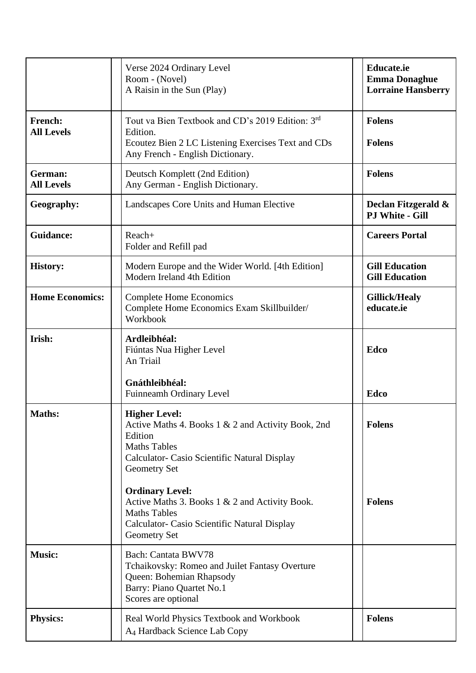|                              | Verse 2024 Ordinary Level<br>Room - (Novel)<br>A Raisin in the Sun (Play)                                                                                                    | <b>Educate.ie</b><br><b>Emma Donaghue</b><br><b>Lorraine Hansberry</b> |
|------------------------------|------------------------------------------------------------------------------------------------------------------------------------------------------------------------------|------------------------------------------------------------------------|
| French:<br><b>All Levels</b> | Tout va Bien Textbook and CD's 2019 Edition: 3rd<br>Edition.<br>Ecoutez Bien 2 LC Listening Exercises Text and CDs<br>Any French - English Dictionary.                       | <b>Folens</b><br><b>Folens</b>                                         |
| German:<br><b>All Levels</b> | Deutsch Komplett (2nd Edition)<br>Any German - English Dictionary.                                                                                                           | <b>Folens</b>                                                          |
| Geography:                   | Landscapes Core Units and Human Elective                                                                                                                                     | Declan Fitzgerald &<br><b>PJ White - Gill</b>                          |
| <b>Guidance:</b>             | Reach+<br>Folder and Refill pad                                                                                                                                              | <b>Careers Portal</b>                                                  |
| <b>History:</b>              | Modern Europe and the Wider World. [4th Edition]<br>Modern Ireland 4th Edition                                                                                               | <b>Gill Education</b><br><b>Gill Education</b>                         |
| <b>Home Economics:</b>       | <b>Complete Home Economics</b><br>Complete Home Economics Exam Skillbuilder/<br>Workbook                                                                                     | <b>Gillick/Healy</b><br>educate.ie                                     |
| Irish:                       | Ardleibhéal:<br>Fiúntas Nua Higher Level<br>An Triail                                                                                                                        | <b>Edco</b>                                                            |
|                              | Gnáthleibhéal:<br>Fuinneamh Ordinary Level                                                                                                                                   | Edco                                                                   |
| <b>Maths:</b>                | <b>Higher Level:</b><br>Active Maths 4. Books 1 & 2 and Activity Book, 2nd<br>Edition<br><b>Maths Tables</b><br>Calculator- Casio Scientific Natural Display<br>Geometry Set | <b>Folens</b>                                                          |
|                              | <b>Ordinary Level:</b><br>Active Maths 3. Books 1 & 2 and Activity Book.<br><b>Maths Tables</b><br>Calculator- Casio Scientific Natural Display<br>Geometry Set              | <b>Folens</b>                                                          |
| <b>Music:</b>                | <b>Bach: Cantata BWV78</b><br>Tchaikovsky: Romeo and Juilet Fantasy Overture<br>Queen: Bohemian Rhapsody<br>Barry: Piano Quartet No.1<br>Scores are optional                 |                                                                        |
| <b>Physics:</b>              | Real World Physics Textbook and Workbook<br>A4 Hardback Science Lab Copy                                                                                                     | <b>Folens</b>                                                          |